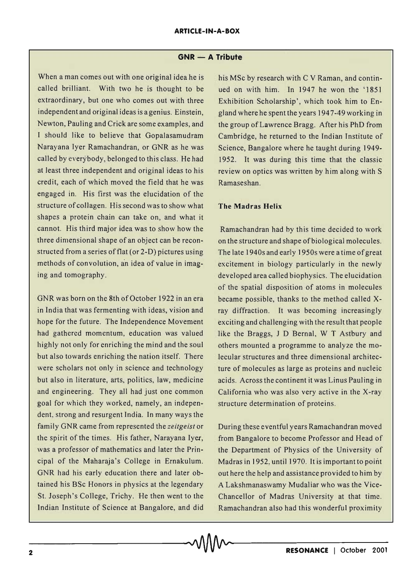## **GNR - A Tribute**

When a man comes out with one original idea he is called brilliant. With two he is thought to be extraordinary, but one who comes out with three independent and original ideas is a genius. Einstein, Newton, Pauling and Crick are some examples, and I should like to believe that Gopalasamudram Narayana Iyer Ramachandran, or GNR as he was called by everybody, belonged to this class. He had at least three independent and original ideas to his credit, each of which moved the field that he was engaged in. His first was the elucidation of the structure of collagen. His second was to show what shapes a protein chain can take on, and what it cannot. His third major idea was to show how the three dimensional shape of an object can be reconstructed from a series of flat (or 2-D) pictures using methods of convolution, an idea of value in imaging and tomography.

GNR was born on the 8th of October 1922 in an era in India that was fermenting with ideas, vision and hope for the future. The Independence Movement had gathered momentum, education was valued highly not only for enriching the mind and the soul but also towards enriching the nation itself. There were scholars not only in science and technology but also in literature, arts, politics, law, medicine and engineering. They all had just one common goal for which they worked, namely, an independent, strong and resurgent India. In many ways the family GNR came from represented the *zeitgeist* or the spirit of the times. His father, Narayana Iyer, was a professor of mathematics and later the Principal of the Maharaja's College in Ernakulum. GNR had his early education there and later obtained his BSc Honors in physics at the legendary St. Joseph's College, Trichy. He then went to the Indian Institute of Science at Bangalore, and did

his MSc by research with C V Raman, and continued on with him. In 1947 he won the '1851 Exhibition Scholarship', which took him to England where he spent the years 1947-49 working in the group of Lawrence Bragg. After his PhD from Cambridge, he returned to the Indian Institute of Science, Bangalore where he taught during 1949- 1952. It was during this time that the classic review on optics was written by him along with S Ramaseshan.

## **The Madras Helix**

Ramachandran had by this time decided to work on the structure and shape of biological molecules. The late 1940s and early 1950s were a time of great excitement in biology particularly in the newly developed area called biophysics. The elucidation of the spatial disposition of atoms in molecules became possible, thanks to the method called xray diffraction. It was becoming increasingly exciting and challenging with the result that people like the Braggs, J D Bernal, W T Astbury and others mounted a programme to analyze the molecular structures and three dimensional architecture of molecules as large as proteins and nucleic acids. Across the continent it was Linus Pauling in California who was also very active in the X-ray structure determination of proteins.

During these eventful years Ramachandran moved from Bangalore to become Professor and Head of the Department of Physics of the University of Madras in 1952, until 1970. Itis important to point out here the help and assistance provided to him by A Lakshmanaswamy Mudaliar who was the Vice-Chancellor of Madras University at that time. Ramachandran also had this wonderful proximity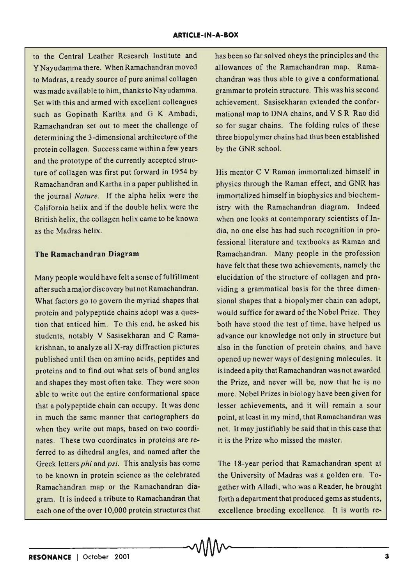to the Central Leather Research Institute and Y Nayudamma there. When Ramachandran moved to Madras, a ready source of pure animal collagen was made available to him, thanks to Nayudamma. Set with this and armed with excellent colleagues such as Gopinath Kartha and G K Ambadi, Ramachandran set out to meet the challenge of determining the 3-dimensional architecture of the protein collagen. Success came within a few years and the prototype of the currently accepted structure of collagen was first put forward in 1954 by Ramachandran and Kartha in a paper published in the journal *Nature.* If the alpha helix were the California helix and if the double helix were the British helix, the collagen helix came to be known as the Madras helix.

## **The Ramachandran Diagram**

Many people would have felt a sense of fulfillment after such a major discovery but not Ramachandran. What factors go to govern the myriad shapes that protein and polypeptide chains adopt was a question that enticed him. To this end, he asked his students, notably V Sasisekharan and C Ramakrishnan, to analyze all X-ray diffraction pictures published until then on amino acids, peptides and proteins and to find out what sets of bond angles and shapes they most often take. They were soon able to write out the entire conformational space that a polypeptide chain can occupy. It was done in much the same manner that cartographers do when they write out maps, based on two coordinates. These two coordinates in proteins are referred to as dihedral angles, and named after the Greek letters *phi* and *psi.* This analysis has come to be known in protein science as the celebrated Ramachandran map or the Ramachandran diagram. It is indeed a tribute to Ramachandran that each one of the over 10,000 protein structures that has been so far solved obeys the principles and the allowances of the Ramachandran map. Ramachandran was thus able to give a conformational grammar to protein structure. This was his second achievement. Sasisekharan extended the conformational map to DNA chains, and V S R Rao did so for sugar chains. The folding rules of these three biopolymer chains had thus been established by the GNR school.

His mentor C V Raman immortalized himself in physics through the Raman effect, and GNR has immortalized himself in biophysics and biochemistry with the Ramachandran diagram. Indeed when one looks at contemporary scientists of India, no one else has had such recognition in professional literature and textbooks as Raman and Ramachandran. Many people in the profession have felt that these two achievements, namely the elucidation of the structure of collagen and providing a grammatical basis for the three dimensional shapes that a biopolymer chain can adopt, would suffice for award of the Nobel Prize. They both have stood the test of time, have helped us advance our knowledge not only in structure but also in the function of protein chains, and have opened up newer ways of designing molecules. It is indeed a pity that Ramachandran was not awarded the Prize, and never will be, now that he is no more. Nobel Prizes in biology have been given for lesser achievements, and it will remain a sour point, at least in my mind, that Ramachandran was not. It may justifiably be said that in this case that it is the Prize who missed the master.

The IS-year period that Ramachandran spent at the University of Madras was a golden era. Together with Alladi, who was a Reader, he brought forth a department that produced gems as students, excellence breeding excellence. It is worth re